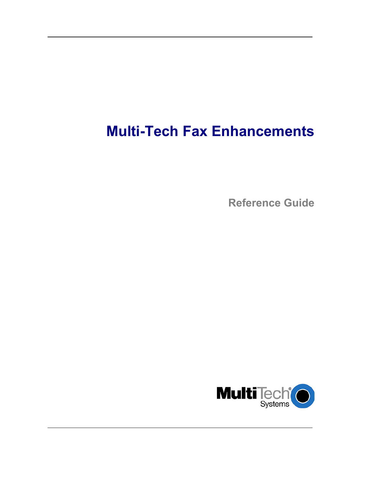# **Multi-Tech Fax Enhancements**

**Reference Guide** 

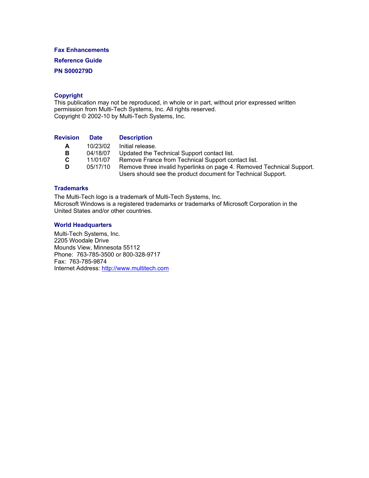### **Fax Enhancements**

**Reference Guide** 

### **PN S000279D**

### **Copyright**

This publication may not be reproduced, in whole or in part, without prior expressed written permission from Multi-Tech Systems, Inc. All rights reserved. Copyright © 2002-10 by Multi-Tech Systems, Inc.

| <b>Revision</b> | <b>Date</b> | <b>Description</b>                                                                                                                    |
|-----------------|-------------|---------------------------------------------------------------------------------------------------------------------------------------|
| A               | 10/23/02    | Initial release.                                                                                                                      |
| в               | 04/18/07    | Updated the Technical Support contact list.                                                                                           |
| C.              | 11/01/07    | Remove France from Technical Support contact list.                                                                                    |
| D               | 05/17/10    | Remove three invalid hyperlinks on page 4. Removed Technical Support.<br>Users should see the product document for Technical Support. |

### **Trademarks**

The Multi-Tech logo is a trademark of Multi-Tech Systems, Inc. Microsoft Windows is a registered trademarks or trademarks of Microsoft Corporation in the United States and/or other countries.

#### **World Headquarters**

Multi-Tech Systems, Inc. 2205 Woodale Drive Mounds View, Minnesota 55112 Phone: 763-785-3500 or 800-328-9717 Fax: 763-785-9874 Internet Address: [http://www.multitech.com](http://www.multitech.com/)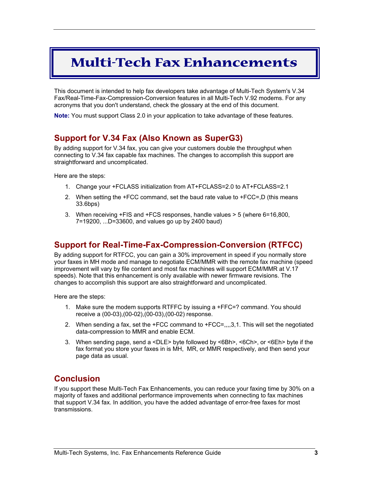## **Multi-Tech Fax Enhancements**

This document is intended to help fax developers take advantage of Multi-Tech System's V.34 Fax/Real-Time-Fax-Compression-Conversion features in all Multi-Tech V.92 modems. For any acronyms that you don't understand, check the glossary at the end of this document.

**Note:** You must support Class 2.0 in your application to take advantage of these features.

## **Support for V.34 Fax (Also Known as SuperG3)**

By adding support for V.34 fax, you can give your customers double the throughput when connecting to V.34 fax capable fax machines. The changes to accomplish this support are straightforward and uncomplicated.

Here are the steps:

- 1. Change your +FCLASS initialization from AT+FCLASS=2.0 to AT+FCLASS=2.1
- 2. When setting the +FCC command, set the baud rate value to +FCC=,D (this means 33.6bps)
- 3. When receiving +FIS and +FCS responses, handle values > 5 (where 6=16,800, 7=19200, ...D=33600, and values go up by 2400 baud)

## **Support for Real-Time-Fax-Compression-Conversion (RTFCC)**

By adding support for RTFCC, you can gain a 30% improvement in speed if you normally store your faxes in MH mode and manage to negotiate ECM/MMR with the remote fax machine (speed improvement will vary by file content and most fax machines will support ECM/MMR at V.17 speeds). Note that this enhancement is only available with newer firmware revisions. The changes to accomplish this support are also straightforward and uncomplicated.

Here are the steps:

- 1. Make sure the modem supports RTFFC by issuing a +FFC=? command. You should receive a (00-03),(00-02),(00-03),(00-02) response.
- 2. When sending a fax, set the +FCC command to +FCC=,,,,3,1. This will set the negotiated data-compression to MMR and enable ECM.
- 3. When sending page, send a <DLE> byte followed by <6Bh>, <6Ch>, or <6Eh> byte if the fax format you store your faxes in is MH, MR, or MMR respectively, and then send your page data as usual.

## **Conclusion**

If you support these Multi-Tech Fax Enhancements, you can reduce your faxing time by 30% on a majority of faxes and additional performance improvements when connecting to fax machines that support V.34 fax. In addition, you have the added advantage of error-free faxes for most transmissions.